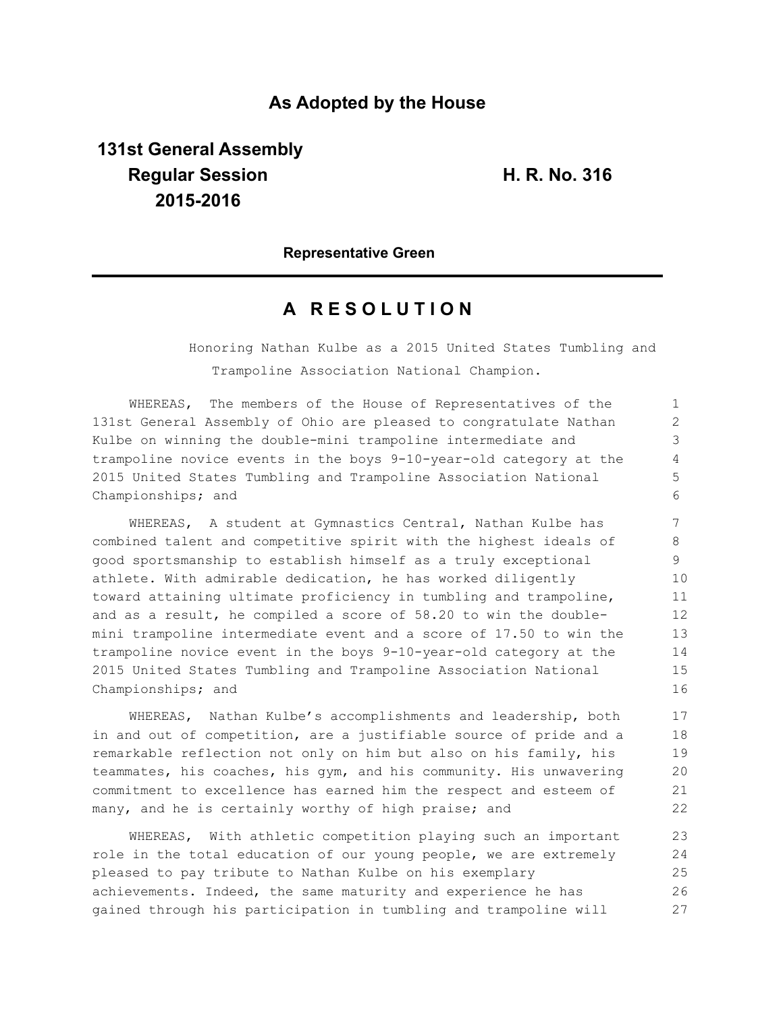## **As Adopted by the House**

# **131st General Assembly Regular Session H. R. No. 316 2015-2016**

### **Representative Green**

## **A R E S O L U T I O N**

Honoring Nathan Kulbe as a 2015 United States Tumbling and Trampoline Association National Champion.

WHEREAS, The members of the House of Representatives of the 131st General Assembly of Ohio are pleased to congratulate Nathan Kulbe on winning the double-mini trampoline intermediate and trampoline novice events in the boys 9-10-year-old category at the 2015 United States Tumbling and Trampoline Association National Championships; and

WHEREAS, A student at Gymnastics Central, Nathan Kulbe has combined talent and competitive spirit with the highest ideals of good sportsmanship to establish himself as a truly exceptional athlete. With admirable dedication, he has worked diligently toward attaining ultimate proficiency in tumbling and trampoline, and as a result, he compiled a score of 58.20 to win the doublemini trampoline intermediate event and a score of 17.50 to win the trampoline novice event in the boys 9-10-year-old category at the 2015 United States Tumbling and Trampoline Association National Championships; and

WHEREAS, Nathan Kulbe's accomplishments and leadership, both in and out of competition, are a justifiable source of pride and a remarkable reflection not only on him but also on his family, his teammates, his coaches, his gym, and his community. His unwavering commitment to excellence has earned him the respect and esteem of many, and he is certainly worthy of high praise; and

WHEREAS, With athletic competition playing such an important role in the total education of our young people, we are extremely pleased to pay tribute to Nathan Kulbe on his exemplary achievements. Indeed, the same maturity and experience he has gained through his participation in tumbling and trampoline will 23 24 25 26 27